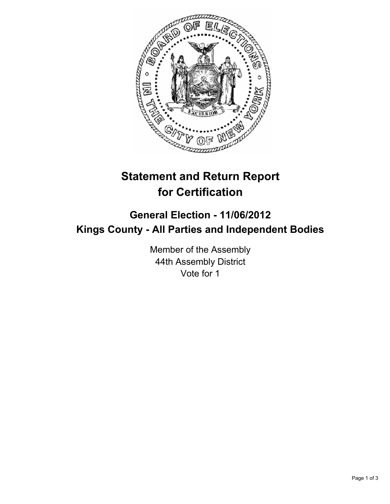

# **Statement and Return Report for Certification**

## **General Election - 11/06/2012 Kings County - All Parties and Independent Bodies**

Member of the Assembly 44th Assembly District Vote for 1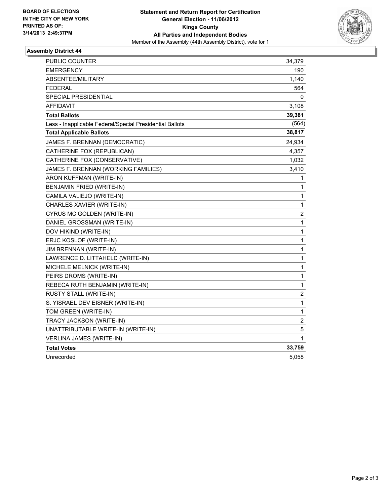

### **Assembly District 44**

| <b>PUBLIC COUNTER</b>                                    | 34,379                  |
|----------------------------------------------------------|-------------------------|
| <b>EMERGENCY</b>                                         | 190                     |
| ABSENTEE/MILITARY                                        | 1,140                   |
| <b>FEDERAL</b>                                           | 564                     |
| SPECIAL PRESIDENTIAL                                     | 0                       |
| <b>AFFIDAVIT</b>                                         | 3,108                   |
| <b>Total Ballots</b>                                     | 39,381                  |
| Less - Inapplicable Federal/Special Presidential Ballots | (564)                   |
| <b>Total Applicable Ballots</b>                          | 38,817                  |
| JAMES F. BRENNAN (DEMOCRATIC)                            | 24,934                  |
| CATHERINE FOX (REPUBLICAN)                               | 4,357                   |
| CATHERINE FOX (CONSERVATIVE)                             | 1,032                   |
| JAMES F. BRENNAN (WORKING FAMILIES)                      | 3,410                   |
| ARON KUFFMAN (WRITE-IN)                                  | 1                       |
| <b>BENJAMIN FRIED (WRITE-IN)</b>                         | 1                       |
| CAMILA VALIEJO (WRITE-IN)                                | 1                       |
| CHARLES XAVIER (WRITE-IN)                                | 1                       |
| CYRUS MC GOLDEN (WRITE-IN)                               | 2                       |
| DANIEL GROSSMAN (WRITE-IN)                               | 1                       |
| DOV HIKIND (WRITE-IN)                                    | 1                       |
| ERJC KOSLOF (WRITE-IN)                                   | 1                       |
| <b>JIM BRENNAN (WRITE-IN)</b>                            | 1                       |
| LAWRENCE D. LITTAHELD (WRITE-IN)                         | 1                       |
| MICHELE MELNICK (WRITE-IN)                               | 1                       |
| PEIRS DROMS (WRITE-IN)                                   | 1                       |
| REBECA RUTH BENJAMIN (WRITE-IN)                          | 1                       |
| RUSTY STALL (WRITE-IN)                                   | $\overline{\mathbf{c}}$ |
| S. YISRAEL DEV EISNER (WRITE-IN)                         | 1                       |
| TOM GREEN (WRITE-IN)                                     | 1                       |
| TRACY JACKSON (WRITE-IN)                                 | $\overline{c}$          |
| UNATTRIBUTABLE WRITE-IN (WRITE-IN)                       | 5                       |
| <b>VERLINA JAMES (WRITE-IN)</b>                          | 1                       |
| <b>Total Votes</b>                                       | 33,759                  |
| Unrecorded                                               | 5,058                   |